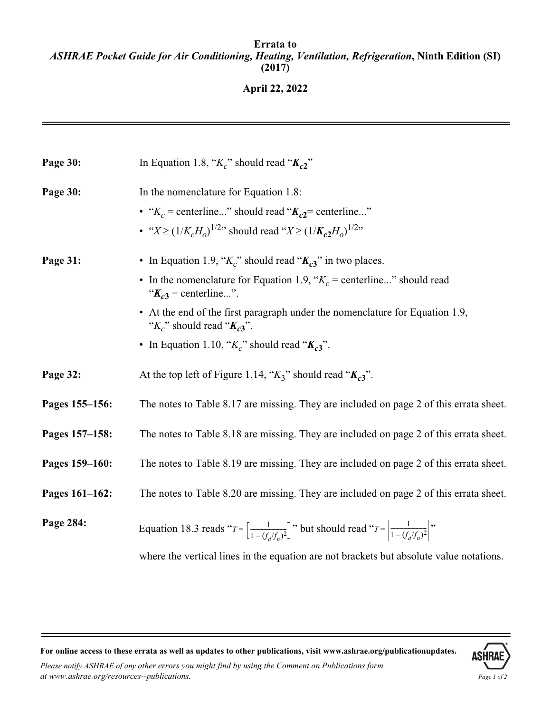# **April 22, 2022**

| Page 30:       | In Equation 1.8, " $K_c$ " should read " $K_{c2}$ "                                                                               |
|----------------|-----------------------------------------------------------------------------------------------------------------------------------|
| Page 30:       | In the nomenclature for Equation 1.8:                                                                                             |
|                | • " $K_c$ = centerline" should read " $K_{c2}$ = centerline"                                                                      |
|                | • " $X \ge (1/K_cH_o)^{1/2}$ " should read " $X \ge (1/K_c2H_o)^{1/2}$ "                                                          |
| Page 31:       | • In Equation 1.9, " $K_c$ " should read " $K_{c3}$ " in two places.                                                              |
|                | • In the nomenclature for Equation 1.9, " $K_c$ = centerline" should read<br>" $K_{c3}$ = centerline".                            |
|                | • At the end of the first paragraph under the nomenclature for Equation 1.9,<br>" $K_c$ " should read " $K_{c3}$ ".               |
|                | • In Equation 1.10, " $K_c$ " should read " $K_{c3}$ ".                                                                           |
| Page 32:       | At the top left of Figure 1.14, " $K_3$ " should read " $K_{c3}$ ".                                                               |
| Pages 155-156: | The notes to Table 8.17 are missing. They are included on page 2 of this errata sheet.                                            |
| Pages 157-158: | The notes to Table 8.18 are missing. They are included on page 2 of this errata sheet.                                            |
| Pages 159-160: | The notes to Table 8.19 are missing. They are included on page 2 of this errata sheet.                                            |
| Pages 161-162: | The notes to Table 8.20 are missing. They are included on page 2 of this errata sheet.                                            |
| Page 284:      | Equation 18.3 reads " $T = \left[\frac{1}{1-(f_1/f_1)^2}\right]$ " but should read " $T = \left \frac{1}{1-(f_1/f_1)^2}\right $ " |
|                | where the vertical lines in the equation are not brackets but absolute value notations.                                           |

**For online access to these errata as well as updates to other publications, visit www.ashrae.org/publicationupdates.**